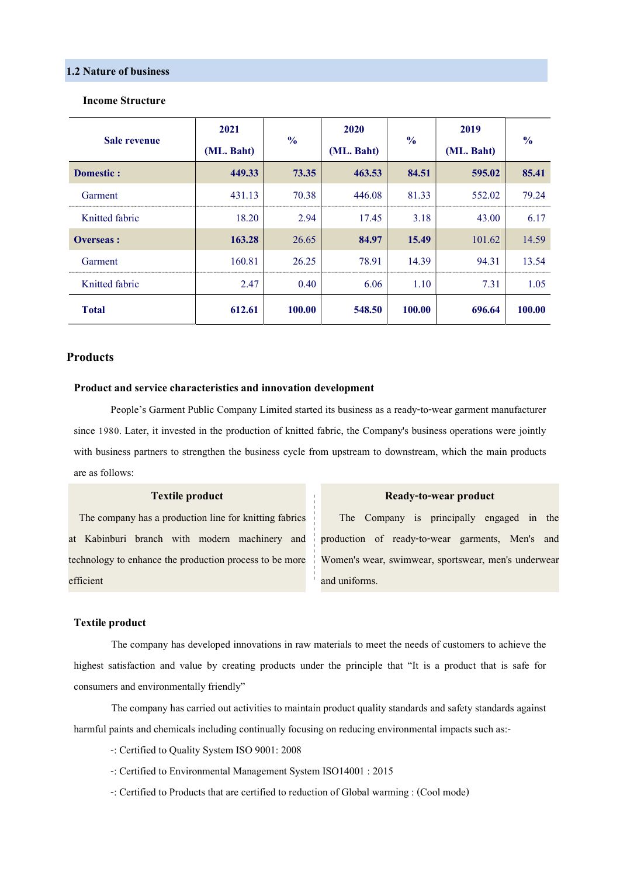# 1.2 Nature of business

| Sale revenue     | 2021<br>(ML. Baht) | $\frac{0}{0}$ | 2020<br>(ML. Baht) | $\frac{6}{6}$ | 2019<br>(ML. Baht) | $\frac{0}{0}$ |
|------------------|--------------------|---------------|--------------------|---------------|--------------------|---------------|
| <b>Domestic:</b> | 449.33             | 73.35         | 463.53             | 84.51         | 595.02             | 85.41         |
| Garment          | 431.13             | 70.38         | 446.08             | 81.33         | 552.02             | 79.24         |
| Knitted fabric   | 18.20              | 2.94          | 17.45              | 3.18          | 43.00              | 6.17          |
| <b>Overseas:</b> | 163.28             | 26.65         | 84.97              | 15.49         | 101.62             | 14.59         |
| Garment          | 160.81             | 26.25         | 78.91              | 14.39         | 94.31              | 13.54         |
| Knitted fabric   | 2.47               | 0.40          | 6.06               | 1.10          | 7.31               | 1.05          |
| <b>Total</b>     | 612.61             | 100.00        | 548.50             | 100.00        | 696.64             | 100.00        |

#### Income Structure

# **Products**

#### Product and service characteristics and innovation development

People's Garment Public Company Limited started its business as a ready-to-wear garment manufacturer since 1980. Later, it invested in the production of knitted fabric, the Company's business operations were jointly with business partners to strengthen the business cycle from upstream to downstream, which the main products are as follows:

# Textile product

 at Kabinburi branch with modern machinery and The company has a production line for knitting fabrics technology to enhance the production process to be more efficient

#### Ready-to-wear product

 The Company is principally engaged in the production of ready-to-wear garments, Men's and Women's wear, swimwear, sportswear, men's underwear and uniforms.

### Textile product

The company has developed innovations in raw materials to meet the needs of customers to achieve the highest satisfaction and value by creating products under the principle that "It is a product that is safe for consumers and environmentally friendly"

 The company has carried out activities to maintain product quality standards and safety standards against harmful paints and chemicals including continually focusing on reducing environmental impacts such as:-

- -: Certified to Quality System ISO 9001: 2008
- -: Certified to Environmental Management System ISO14001 : 2015
- -: Certified to Products that are certified to reduction of Global warming : (Cool mode)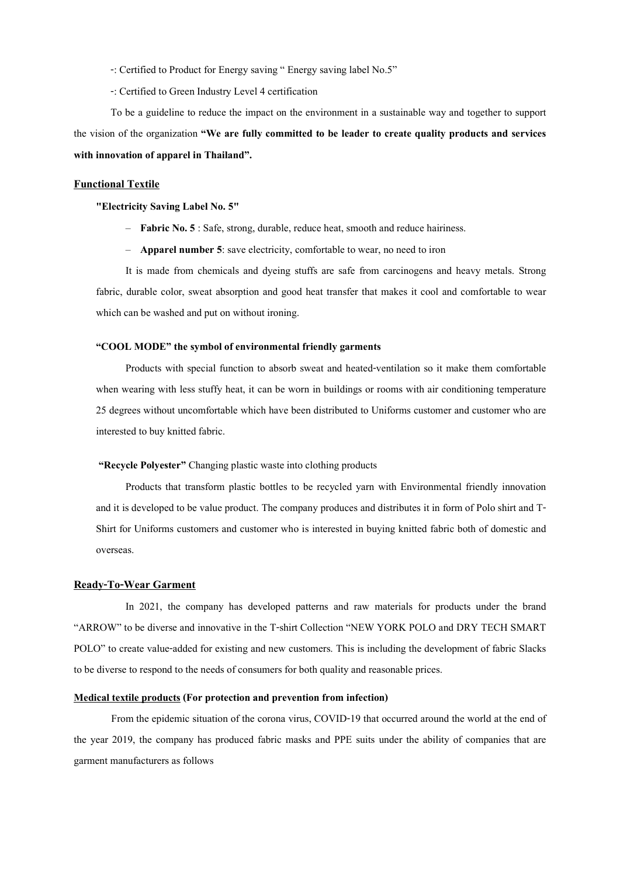-: Certified to Product for Energy saving " Energy saving label No.5"

-: Certified to Green Industry Level 4 certification

To be a guideline to reduce the impact on the environment in a sustainable way and together to support the vision of the organization "We are fully committed to be leader to create quality products and services with innovation of apparel in Thailand".

#### Functional Textile

"Electricity Saving Label No. 5"

- Fabric No. 5 : Safe, strong, durable, reduce heat, smooth and reduce hairiness.
- Apparel number 5: save electricity, comfortable to wear, no need to iron

It is made from chemicals and dyeing stuffs are safe from carcinogens and heavy metals. Strong fabric, durable color, sweat absorption and good heat transfer that makes it cool and comfortable to wear which can be washed and put on without ironing.

### "COOL MODE" the symbol of environmental friendly garments

Products with special function to absorb sweat and heated-ventilation so it make them comfortable when wearing with less stuffy heat, it can be worn in buildings or rooms with air conditioning temperature 25 degrees without uncomfortable which have been distributed to Uniforms customer and customer who are interested to buy knitted fabric.

#### "Recycle Polyester" Changing plastic waste into clothing products

Products that transform plastic bottles to be recycled yarn with Environmental friendly innovation and it is developed to be value product. The company produces and distributes it in form of Polo shirt and T-Shirt for Uniforms customers and customer who is interested in buying knitted fabric both of domestic and overseas.

# Ready-To-Wear Garment

In 2021, the company has developed patterns and raw materials for products under the brand "ARROW" to be diverse and innovative in the T-shirt Collection "NEW YORK POLO and DRY TECH SMART POLO" to create value-added for existing and new customers. This is including the development of fabric Slacks to be diverse to respond to the needs of consumers for both quality and reasonable prices.

#### Medical textile products (For protection and prevention from infection)

From the epidemic situation of the corona virus, COVID-19 that occurred around the world at the end of the year 2019, the company has produced fabric masks and PPE suits under the ability of companies that are garment manufacturers as follows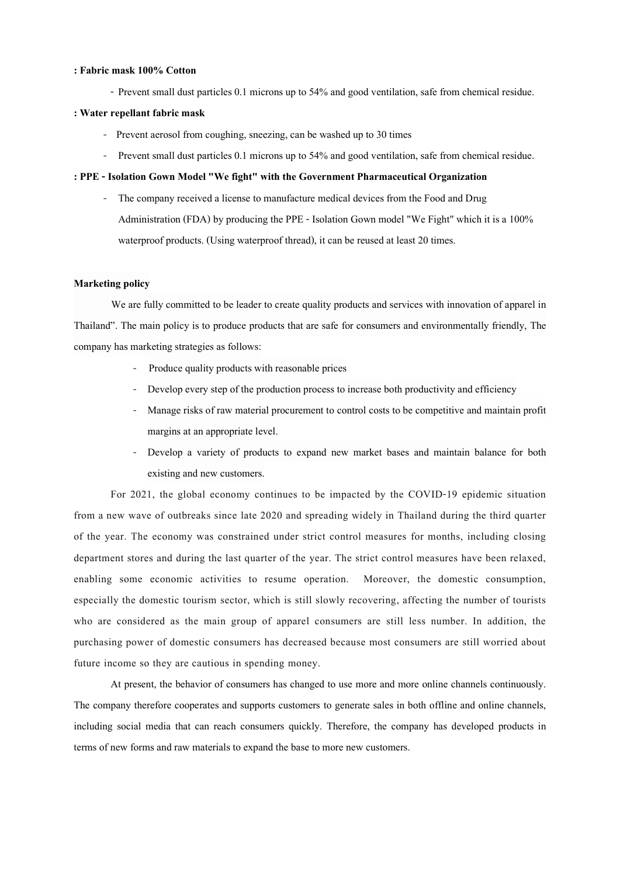#### : Fabric mask 100% Cotton

- Prevent small dust particles 0.1 microns up to 54% and good ventilation, safe from chemical residue.

#### : Water repellant fabric mask

- Prevent aerosol from coughing, sneezing, can be washed up to 30 times
- Prevent small dust particles 0.1 microns up to 54% and good ventilation, safe from chemical residue.

# : PPE - Isolation Gown Model "We fight" with the Government Pharmaceutical Organization

The company received a license to manufacture medical devices from the Food and Drug Administration (FDA) by producing the PPE - Isolation Gown model "We Fight" which it is a 100% waterproof products. (Using waterproof thread), it can be reused at least 20 times.

# Marketing policy

We are fully committed to be leader to create quality products and services with innovation of apparel in Thailand". The main policy is to produce products that are safe for consumers and environmentally friendly, The company has marketing strategies as follows:

- Produce quality products with reasonable prices
- Develop every step of the production process to increase both productivity and efficiency
- Manage risks of raw material procurement to control costs to be competitive and maintain profit margins at an appropriate level.
- Develop a variety of products to expand new market bases and maintain balance for both existing and new customers.

For 2021, the global economy continues to be impacted by the COVID-19 epidemic situation from a new wave of outbreaks since late 2020 and spreading widely in Thailand during the third quarter of the year. The economy was constrained under strict control measures for months, including closing department stores and during the last quarter of the year. The strict control measures have been relaxed, enabling some economic activities to resume operation. Moreover, the domestic consumption, especially the domestic tourism sector, which is still slowly recovering, affecting the number of tourists who are considered as the main group of apparel consumers are still less number. In addition, the purchasing power of domestic consumers has decreased because most consumers are still worried about future income so they are cautious in spending money.

At present, the behavior of consumers has changed to use more and more online channels continuously. The company therefore cooperates and supports customers to generate sales in both offline and online channels, including social media that can reach consumers quickly. Therefore, the company has developed products in terms of new forms and raw materials to expand the base to more new customers.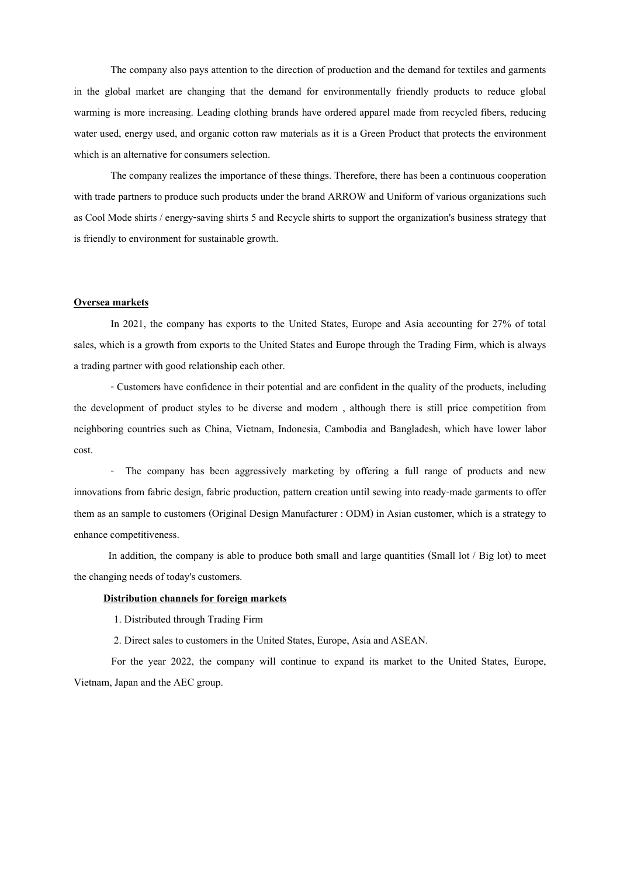The company also pays attention to the direction of production and the demand for textiles and garments in the global market are changing that the demand for environmentally friendly products to reduce global warming is more increasing. Leading clothing brands have ordered apparel made from recycled fibers, reducing water used, energy used, and organic cotton raw materials as it is a Green Product that protects the environment which is an alternative for consumers selection.

The company realizes the importance of these things. Therefore, there has been a continuous cooperation with trade partners to produce such products under the brand ARROW and Uniform of various organizations such as Cool Mode shirts / energy-saving shirts 5 and Recycle shirts to support the organization's business strategy that is friendly to environment for sustainable growth.

#### Oversea markets

In 2021, the company has exports to the United States, Europe and Asia accounting for 27% of total sales, which is a growth from exports to the United States and Europe through the Trading Firm, which is always a trading partner with good relationship each other.

- Customers have confidence in their potential and are confident in the quality of the products, including the development of product styles to be diverse and modern , although there is still price competition from neighboring countries such as China, Vietnam, Indonesia, Cambodia and Bangladesh, which have lower labor cost.

- The company has been aggressively marketing by offering a full range of products and new innovations from fabric design, fabric production, pattern creation until sewing into ready-made garments to offer them as an sample to customers (Original Design Manufacturer : ODM) in Asian customer, which is a strategy to enhance competitiveness.

In addition, the company is able to produce both small and large quantities (Small lot / Big lot) to meet the changing needs of today's customers.

#### Distribution channels for foreign markets

1. Distributed through Trading Firm

2. Direct sales to customers in the United States, Europe, Asia and ASEAN.

For the year 2022, the company will continue to expand its market to the United States, Europe, Vietnam, Japan and the AEC group.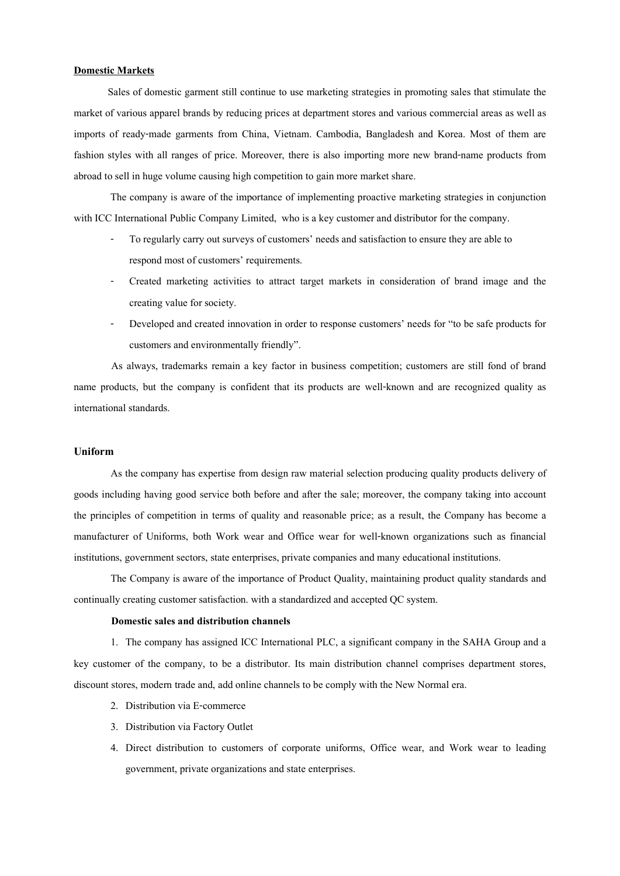#### Domestic Markets

 Sales of domestic garment still continue to use marketing strategies in promoting sales that stimulate the market of various apparel brands by reducing prices at department stores and various commercial areas as well as imports of ready-made garments from China, Vietnam. Cambodia, Bangladesh and Korea. Most of them are fashion styles with all ranges of price. Moreover, there is also importing more new brand-name products from abroad to sell in huge volume causing high competition to gain more market share.

The company is aware of the importance of implementing proactive marketing strategies in conjunction with ICC International Public Company Limited, who is a key customer and distributor for the company.

- To regularly carry out surveys of customers' needs and satisfaction to ensure they are able to respond most of customers' requirements.
- Created marketing activities to attract target markets in consideration of brand image and the creating value for society.
- Developed and created innovation in order to response customers' needs for "to be safe products for customers and environmentally friendly".

 As always, trademarks remain a key factor in business competition; customers are still fond of brand name products, but the company is confident that its products are well-known and are recognized quality as international standards.

# Uniform

As the company has expertise from design raw material selection producing quality products delivery of goods including having good service both before and after the sale; moreover, the company taking into account the principles of competition in terms of quality and reasonable price; as a result, the Company has become a manufacturer of Uniforms, both Work wear and Office wear for well-known organizations such as financial institutions, government sectors, state enterprises, private companies and many educational institutions.

The Company is aware of the importance of Product Quality, maintaining product quality standards and continually creating customer satisfaction. with a standardized and accepted QC system.

# Domestic sales and distribution channels

1. The company has assigned ICC International PLC, a significant company in the SAHA Group and a key customer of the company, to be a distributor. Its main distribution channel comprises department stores, discount stores, modern trade and, add online channels to be comply with the New Normal era.

- 2. Distribution via E-commerce
- 3. Distribution via Factory Outlet
- 4. Direct distribution to customers of corporate uniforms, Office wear, and Work wear to leading government, private organizations and state enterprises.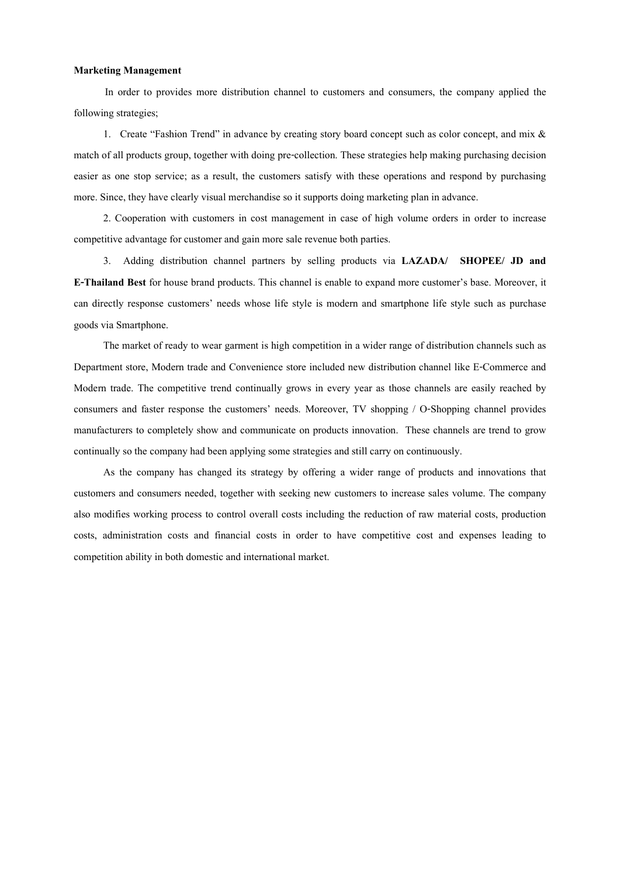#### Marketing Management

 In order to provides more distribution channel to customers and consumers, the company applied the following strategies;

1. Create "Fashion Trend" in advance by creating story board concept such as color concept, and mix & match of all products group, together with doing pre-collection. These strategies help making purchasing decision easier as one stop service; as a result, the customers satisfy with these operations and respond by purchasing more. Since, they have clearly visual merchandise so it supports doing marketing plan in advance.

2. Cooperation with customers in cost management in case of high volume orders in order to increase competitive advantage for customer and gain more sale revenue both parties.

3. Adding distribution channel partners by selling products via LAZADA/ SHOPEE/ JD and E-Thailand Best for house brand products. This channel is enable to expand more customer's base. Moreover, it can directly response customers' needs whose life style is modern and smartphone life style such as purchase goods via Smartphone.

The market of ready to wear garment is high competition in a wider range of distribution channels such as Department store, Modern trade and Convenience store included new distribution channel like E-Commerce and Modern trade. The competitive trend continually grows in every year as those channels are easily reached by consumers and faster response the customers' needs. Moreover, TV shopping / O-Shopping channel provides manufacturers to completely show and communicate on products innovation. These channels are trend to grow continually so the company had been applying some strategies and still carry on continuously.

As the company has changed its strategy by offering a wider range of products and innovations that customers and consumers needed, together with seeking new customers to increase sales volume. The company also modifies working process to control overall costs including the reduction of raw material costs, production costs, administration costs and financial costs in order to have competitive cost and expenses leading to competition ability in both domestic and international market.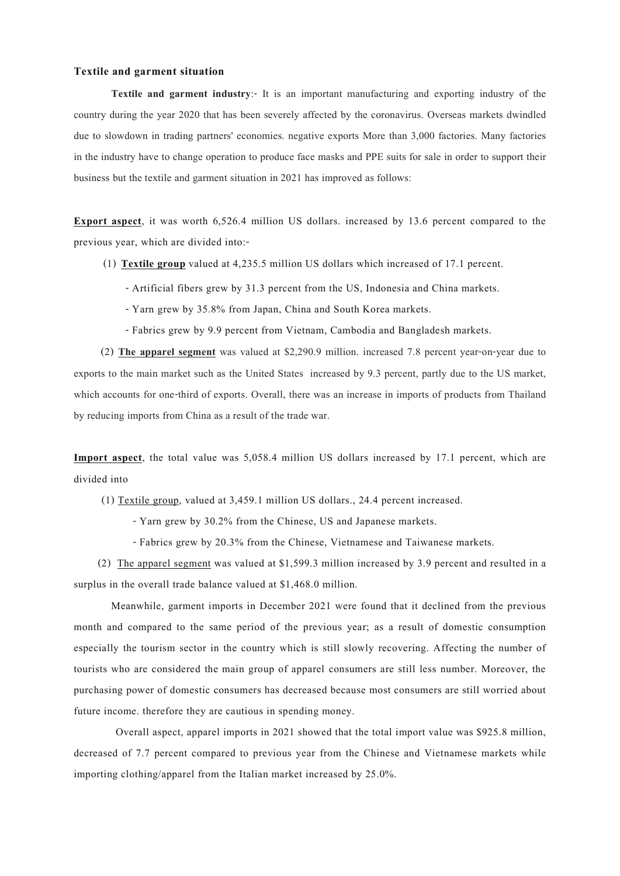# Textile and garment situation

Textile and garment industry:- It is an important manufacturing and exporting industry of the country during the year 2020 that has been severely affected by the coronavirus. Overseas markets dwindled due to slowdown in trading partners' economies. negative exports More than 3,000 factories. Many factories in the industry have to change operation to produce face masks and PPE suits for sale in order to support their business but the textile and garment situation in 2021 has improved as follows:

Export aspect, it was worth 6,526.4 million US dollars. increased by 13.6 percent compared to the previous year, which are divided into:-

(1) Textile group valued at 4,235.5 million US dollars which increased of 17.1 percent.

- Artificial fibers grew by 31.3 percent from the US, Indonesia and China markets.

- Yarn grew by 35.8% from Japan, China and South Korea markets.

- Fabrics grew by 9.9 percent from Vietnam, Cambodia and Bangladesh markets.

 (2) The apparel segment was valued at \$2,290.9 million. increased 7.8 percent year-on-year due to exports to the main market such as the United States increased by 9.3 percent, partly due to the US market, which accounts for one-third of exports. Overall, there was an increase in imports of products from Thailand by reducing imports from China as a result of the trade war.

Import aspect, the total value was 5,058.4 million US dollars increased by 17.1 percent, which are divided into

(1) Textile group, valued at 3,459.1 million US dollars., 24.4 percent increased.

- Yarn grew by 30.2% from the Chinese, US and Japanese markets.

- Fabrics grew by 20.3% from the Chinese, Vietnamese and Taiwanese markets.

 (2) The apparel segment was valued at \$1,599.3 million increased by 3.9 percent and resulted in a surplus in the overall trade balance valued at \$1,468.0 million.

Meanwhile, garment imports in December 2021 were found that it declined from the previous month and compared to the same period of the previous year; as a result of domestic consumption especially the tourism sector in the country which is still slowly recovering. Affecting the number of tourists who are considered the main group of apparel consumers are still less number. Moreover, the purchasing power of domestic consumers has decreased because most consumers are still worried about future income. therefore they are cautious in spending money.

 Overall aspect, apparel imports in 2021 showed that the total import value was \$925.8 million, decreased of 7.7 percent compared to previous year from the Chinese and Vietnamese markets while importing clothing/apparel from the Italian market increased by 25.0%.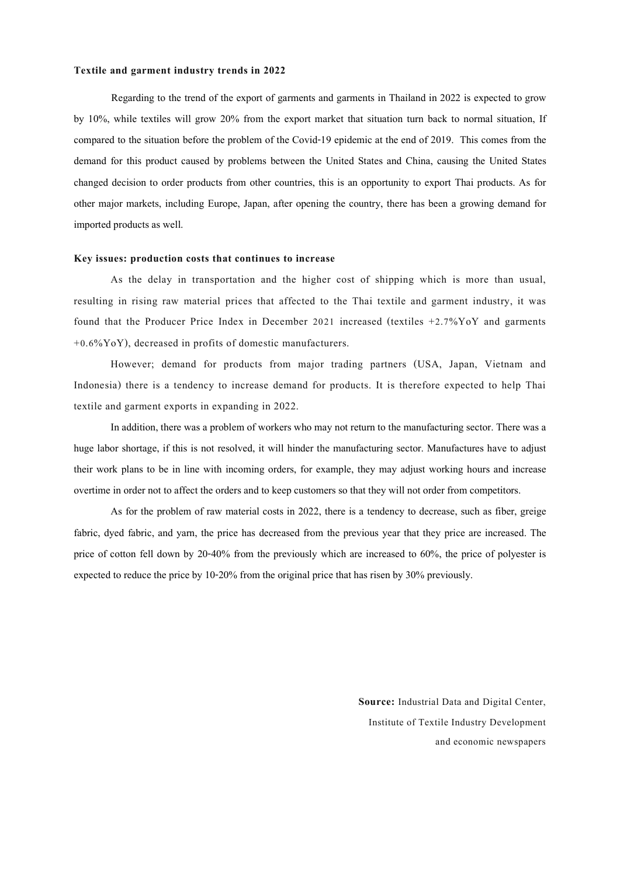#### Textile and garment industry trends in 2022

Regarding to the trend of the export of garments and garments in Thailand in 2022 is expected to grow by 10%, while textiles will grow 20% from the export market that situation turn back to normal situation, If compared to the situation before the problem of the Covid-19 epidemic at the end of 2019. This comes from the demand for this product caused by problems between the United States and China, causing the United States changed decision to order products from other countries, this is an opportunity to export Thai products. As for other major markets, including Europe, Japan, after opening the country, there has been a growing demand for imported products as well.

#### Key issues: production costs that continues to increase

As the delay in transportation and the higher cost of shipping which is more than usual, resulting in rising raw material prices that affected to the Thai textile and garment industry, it was found that the Producer Price Index in December 2021 increased (textiles  $+2.7\%$ YoY and garments  $+0.6\%$ YoY), decreased in profits of domestic manufacturers.

However; demand for products from major trading partners (USA, Japan, Vietnam and Indonesia) there is a tendency to increase demand for products. It is therefore expected to help Thai textile and garment exports in expanding in 2022.

In addition, there was a problem of workers who may not return to the manufacturing sector. There was a huge labor shortage, if this is not resolved, it will hinder the manufacturing sector. Manufactures have to adjust their work plans to be in line with incoming orders, for example, they may adjust working hours and increase overtime in order not to affect the orders and to keep customers so that they will not order from competitors.

As for the problem of raw material costs in 2022, there is a tendency to decrease, such as fiber, greige fabric, dyed fabric, and yarn, the price has decreased from the previous year that they price are increased. The price of cotton fell down by 20-40% from the previously which are increased to 60%, the price of polyester is expected to reduce the price by 10-20% from the original price that has risen by 30% previously.

> Source: Industrial Data and Digital Center, Institute of Textile Industry Development and economic newspapers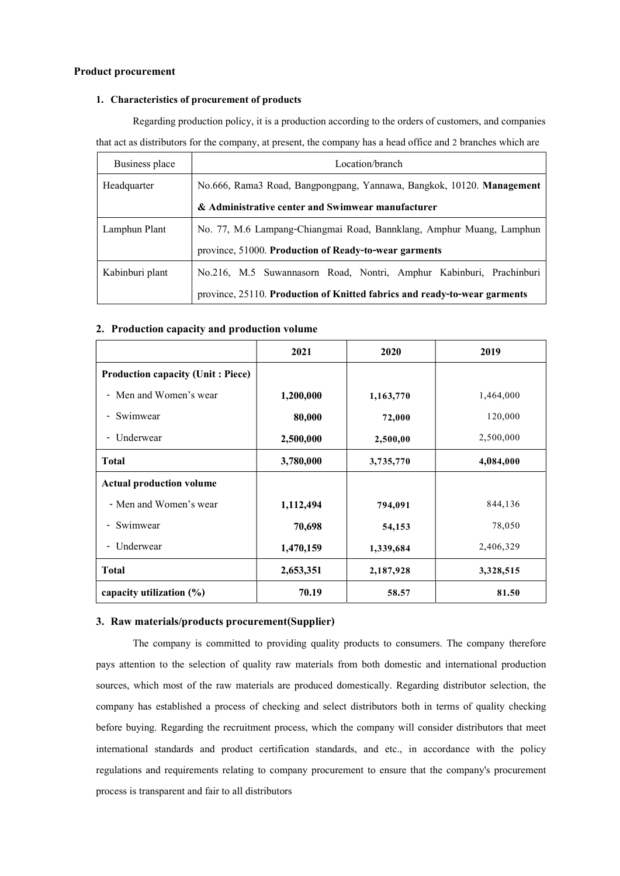# Product procurement

### 1. Characteristics of procurement of products

Regarding production policy, it is a production according to the orders of customers, and companies that act as distributors for the company, at present, the company has a head office and 2 branches which are

| Business place  | Location/branch                                                           |  |  |  |  |
|-----------------|---------------------------------------------------------------------------|--|--|--|--|
| Headquarter     | No.666, Rama3 Road, Bangpongpang, Yannawa, Bangkok, 10120. Management     |  |  |  |  |
|                 | & Administrative center and Swimwear manufacturer                         |  |  |  |  |
| Lamphun Plant   | No. 77, M.6 Lampang-Chiangmai Road, Bannklang, Amphur Muang, Lamphun      |  |  |  |  |
|                 | province, 51000. Production of Ready-to-wear garments                     |  |  |  |  |
| Kabinburi plant | No.216, M.5 Suwannasorn Road, Nontri, Amphur Kabinburi, Prachinburi       |  |  |  |  |
|                 | province, 25110. Production of Knitted fabrics and ready-to-wear garments |  |  |  |  |

# 2. Production capacity and production volume

|                                          | 2021      | 2020      | 2019      |
|------------------------------------------|-----------|-----------|-----------|
| <b>Production capacity (Unit: Piece)</b> |           |           |           |
| - Men and Women's wear                   | 1,200,000 | 1,163,770 | 1,464,000 |
| - Swimwear                               | 80,000    | 72,000    | 120,000   |
| Underwear<br>$\blacksquare$              | 2,500,000 | 2,500,00  | 2,500,000 |
| <b>Total</b>                             | 3,780,000 | 3,735,770 | 4,084,000 |
| <b>Actual production volume</b>          |           |           |           |
| - Men and Women's wear                   | 1,112,494 | 794,091   | 844,136   |
| - Swimwear                               | 70,698    | 54,153    | 78,050    |
| - Underwear                              | 1,470,159 | 1,339,684 | 2,406,329 |
| <b>Total</b>                             | 2,653,351 | 2,187,928 | 3,328,515 |
| capacity utilization $(\%)$              | 70.19     | 58.57     | 81.50     |

# 3. Raw materials/products procurement(Supplier)

The company is committed to providing quality products to consumers. The company therefore pays attention to the selection of quality raw materials from both domestic and international production sources, which most of the raw materials are produced domestically. Regarding distributor selection, the company has established a process of checking and select distributors both in terms of quality checking before buying. Regarding the recruitment process, which the company will consider distributors that meet international standards and product certification standards, and etc., in accordance with the policy regulations and requirements relating to company procurement to ensure that the company's procurement process is transparent and fair to all distributors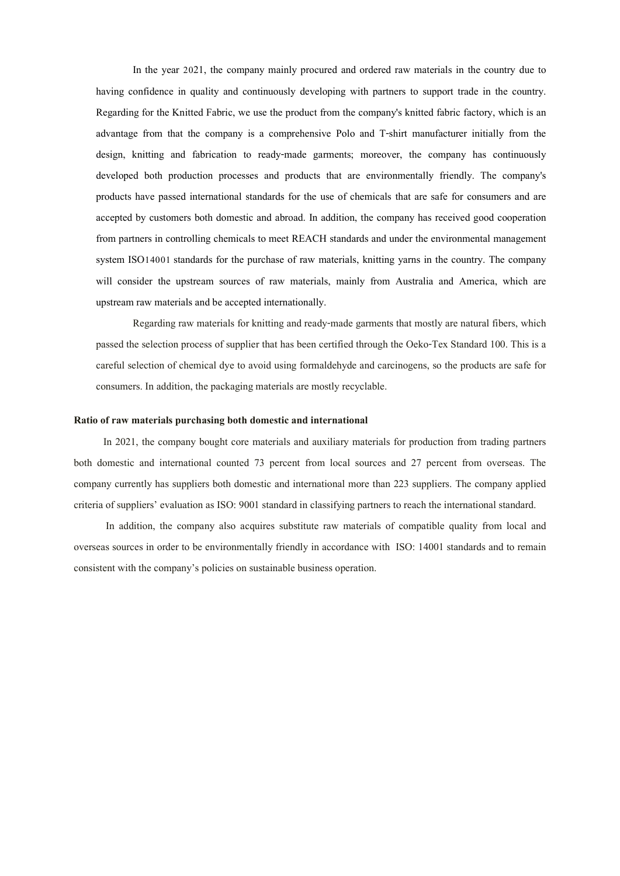In the year 2021, the company mainly procured and ordered raw materials in the country due to having confidence in quality and continuously developing with partners to support trade in the country. Regarding for the Knitted Fabric, we use the product from the company's knitted fabric factory, which is an advantage from that the company is a comprehensive Polo and T-shirt manufacturer initially from the design, knitting and fabrication to ready-made garments; moreover, the company has continuously developed both production processes and products that are environmentally friendly. The company's products have passed international standards for the use of chemicals that are safe for consumers and are accepted by customers both domestic and abroad. In addition, the company has received good cooperation from partners in controlling chemicals to meet REACH standards and under the environmental management system ISO14001 standards for the purchase of raw materials, knitting yarns in the country. The company will consider the upstream sources of raw materials, mainly from Australia and America, which are upstream raw materials and be accepted internationally.

Regarding raw materials for knitting and ready-made garments that mostly are natural fibers, which passed the selection process of supplier that has been certified through the Oeko-Tex Standard 100. This is a careful selection of chemical dye to avoid using formaldehyde and carcinogens, so the products are safe for consumers. In addition, the packaging materials are mostly recyclable.

#### Ratio of raw materials purchasing both domestic and international

In 2021, the company bought core materials and auxiliary materials for production from trading partners both domestic and international counted 73 percent from local sources and 27 percent from overseas. The company currently has suppliers both domestic and international more than 223 suppliers. The company applied criteria of suppliers' evaluation as ISO: 9001 standard in classifying partners to reach the international standard.

 In addition, the company also acquires substitute raw materials of compatible quality from local and overseas sources in order to be environmentally friendly in accordance with ISO: 14001 standards and to remain consistent with the company's policies on sustainable business operation.